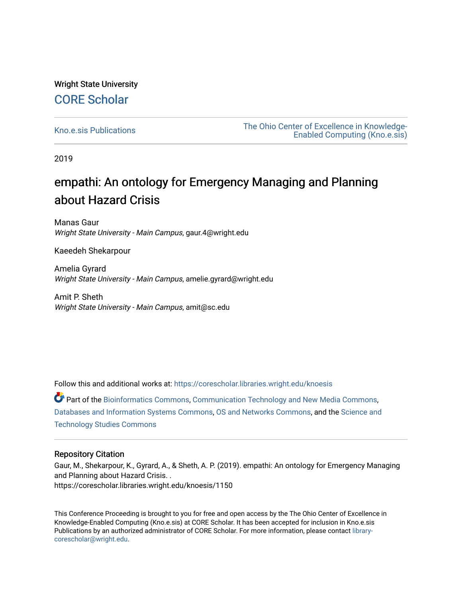## Wright State University [CORE Scholar](https://corescholar.libraries.wright.edu/)

[Kno.e.sis Publications](https://corescholar.libraries.wright.edu/knoesis) [The Ohio Center of Excellence in Knowledge-](https://corescholar.libraries.wright.edu/knoesis_comm)[Enabled Computing \(Kno.e.sis\)](https://corescholar.libraries.wright.edu/knoesis_comm) 

2019

# empathi: An ontology for Emergency Managing and Planning about Hazard Crisis

Manas Gaur Wright State University - Main Campus, gaur.4@wright.edu

Kaeedeh Shekarpour

Amelia Gyrard Wright State University - Main Campus, amelie.gyrard@wright.edu

Amit P. Sheth Wright State University - Main Campus, amit@sc.edu

Follow this and additional works at: [https://corescholar.libraries.wright.edu/knoesis](https://corescholar.libraries.wright.edu/knoesis?utm_source=corescholar.libraries.wright.edu%2Fknoesis%2F1150&utm_medium=PDF&utm_campaign=PDFCoverPages) 

Part of the [Bioinformatics Commons,](http://network.bepress.com/hgg/discipline/110?utm_source=corescholar.libraries.wright.edu%2Fknoesis%2F1150&utm_medium=PDF&utm_campaign=PDFCoverPages) [Communication Technology and New Media Commons,](http://network.bepress.com/hgg/discipline/327?utm_source=corescholar.libraries.wright.edu%2Fknoesis%2F1150&utm_medium=PDF&utm_campaign=PDFCoverPages) [Databases and Information Systems Commons](http://network.bepress.com/hgg/discipline/145?utm_source=corescholar.libraries.wright.edu%2Fknoesis%2F1150&utm_medium=PDF&utm_campaign=PDFCoverPages), [OS and Networks Commons](http://network.bepress.com/hgg/discipline/149?utm_source=corescholar.libraries.wright.edu%2Fknoesis%2F1150&utm_medium=PDF&utm_campaign=PDFCoverPages), and the [Science and](http://network.bepress.com/hgg/discipline/435?utm_source=corescholar.libraries.wright.edu%2Fknoesis%2F1150&utm_medium=PDF&utm_campaign=PDFCoverPages) [Technology Studies Commons](http://network.bepress.com/hgg/discipline/435?utm_source=corescholar.libraries.wright.edu%2Fknoesis%2F1150&utm_medium=PDF&utm_campaign=PDFCoverPages) 

### Repository Citation

Gaur, M., Shekarpour, K., Gyrard, A., & Sheth, A. P. (2019). empathi: An ontology for Emergency Managing and Planning about Hazard Crisis. . https://corescholar.libraries.wright.edu/knoesis/1150

This Conference Proceeding is brought to you for free and open access by the The Ohio Center of Excellence in Knowledge-Enabled Computing (Kno.e.sis) at CORE Scholar. It has been accepted for inclusion in Kno.e.sis Publications by an authorized administrator of CORE Scholar. For more information, please contact [library](mailto:library-corescholar@wright.edu)[corescholar@wright.edu](mailto:library-corescholar@wright.edu).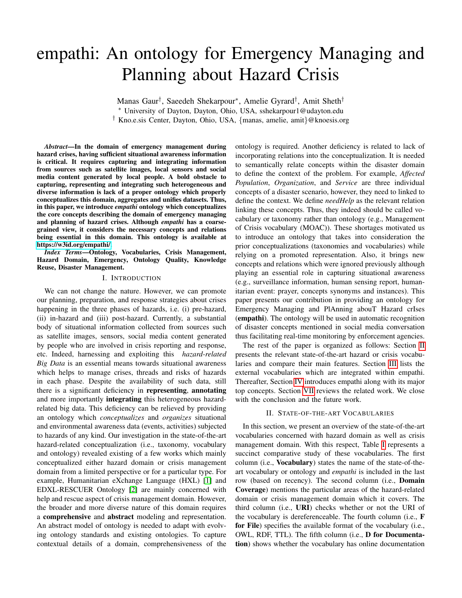# empathi: An ontology for Emergency Managing and Planning about Hazard Crisis

Manas Gaur† , Saeedeh Shekarpour<sup>∗</sup> , Amelie Gyrard† , Amit Sheth† <sup>∗</sup> University of Dayton, Dayton, Ohio, USA, sshekarpour1@udayton.edu † Kno.e.sis Center, Dayton, Ohio, USA, {manas, amelie, amit}@knoesis.org

*Abstract*—In the domain of emergency management during hazard crises, having sufficient situational awareness information is critical. It requires capturing and integrating information from sources such as satellite images, local sensors and social media content generated by local people. A bold obstacle to capturing, representing and integrating such heterogeneous and diverse information is lack of a proper ontology which properly conceptualizes this domain, aggregates and unifies datasets. Thus, in this paper, we introduce *empathi* ontology which conceptualizes the core concepts describing the domain of emergency managing and planning of hazard crises. Although *empathi* has a coarsegrained view, it considers the necessary concepts and relations being essential in this domain. This ontology is available at [https://w3id.org/empathi/.](https://w3id.org/empathi/)

*Index Terms*—Ontology, Vocabularies, Crisis Management, Hazard Domain, Emergency, Ontology Quality, Knowledge Reuse, Disaster Management.

### I. INTRODUCTION

We can not change the nature. However, we can promote our planning, preparation, and response strategies about crises happening in the three phases of hazards, i.e. (i) pre-hazard, (ii) in-hazard and (iii) post-hazard. Currently, a substantial body of situational information collected from sources such as satellite images, sensors, social media content generated by people who are involved in crisis reporting and response, etc. Indeed, harnessing and exploiting this *hazard-related Big Data* is an essential means towards situational awareness which helps to manage crises, threads and risks of hazards in each phase. Despite the availability of such data, still there is a significant deficiency in representing, annotating and more importantly integrating this heterogeneous hazardrelated big data. This deficiency can be relieved by providing an ontology which *conceptualizes* and *organizes* situational and environmental awareness data (events, activities) subjected to hazards of any kind. Our investigation in the state-of-the-art hazard-related conceptualization (i.e., taxonomy, vocabulary and ontology) revealed existing of a few works which mainly conceptualized either hazard domain or crisis management domain from a limited perspective or for a particular type. For example, Humanitarian eXchange Language (HXL) [\[1\]](#page-8-0) and EDXL-RESCUER Ontology [\[2\]](#page-8-1) are mainly concerned with help and rescue aspect of crisis management domain. However, the broader and more diverse nature of this domain requires a comprehensive and abstract modeling and representation. An abstract model of ontology is needed to adapt with evolving ontology standards and existing ontologies. To capture contextual details of a domain, comprehensiveness of the

ontology is required. Another deficiency is related to lack of incorporating relations into the conceptualization. It is needed to semantically relate concepts within the disaster domain to define the context of the problem. For example, *Affected Population*, *Organization*, and *Service* are three individual concepts of a disaster scenario, however, they need to linked to define the context. We define *needHelp* as the relevant relation linking these concepts. Thus, they indeed should be called vocabulary or taxonomy rather than ontology (e.g., Management of Crisis vocabulary (MOAC)). These shortages motivated us to introduce an ontology that takes into consideration the prior conceptualizations (taxonomies and vocabularies) while relying on a promoted representation. Also, it brings new concepts and relations which were ignored previously although playing an essential role in capturing situational awareness (e.g., surveillance information, human sensing report, humanitarian event: prayer, concepts synonyms and instances). This paper presents our contribution in providing an ontology for Emergency Managing and PlAnning abouT Hazard crIses (empathi). The ontology will be used in automatic recognition of disaster concepts mentioned in social media conversation thus facilitating real-time monitoring by enforcement agencies.

The rest of the paper is organized as follows: Section [II](#page-1-0) presents the relevant state-of-the-art hazard or crisis vocabularies and compare their main features. Section [III](#page-2-0) lists the external vocabularies which are integrated within empathi. Thereafter, Section [IV](#page-3-0) introduces empathi along with its major top concepts. Section [VII](#page-7-0) reviews the related work. We close with the conclusion and the future work.

### II. STATE-OF-THE-ART VOCABULARIES

<span id="page-1-0"></span>In this section, we present an overview of the state-of-the-art vocabularies concerned with hazard domain as well as crisis management domain. With this respect, Table [I](#page-3-1) represents a succinct comparative study of these vocabularies. The first column (i.e., Vocabulary) states the name of the state-of-theart vocabulary or ontology and *empathi* is included in the last row (based on recency). The second column (i.e., Domain Coverage) mentions the particular areas of the hazard-related domain or crisis management domain which it covers. The third column (i.e., URI) checks whether or not the URI of the vocabulary is dereferenceable. The fourth column (i.e., F for File) specifies the available format of the vocabulary (i.e., OWL, RDF, TTL). The fifth column (i.e., D for Documentation) shows whether the vocabulary has online documentation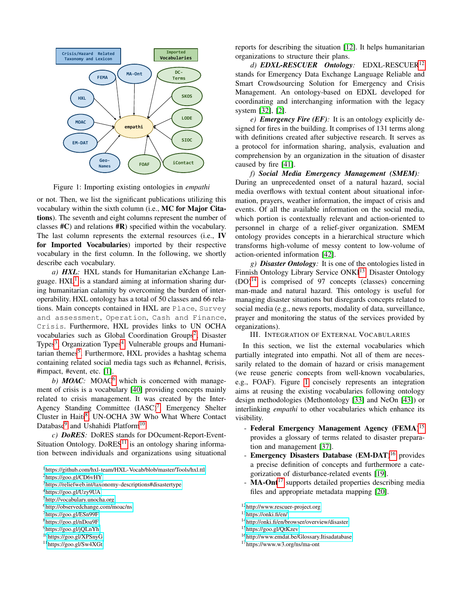<span id="page-2-15"></span>

Figure 1: Importing existing ontologies in *empathi*

or not. Then, we list the significant publications utilizing this vocabulary within the sixth column (i.e., MC for Major Citations). The seventh and eight columns represent the number of classes  $\#C$ ) and relations  $\#R$ ) specified within the vocabulary. The last column represents the external resources (i.e., IV for Imported Vocabularies) imported by their respective vocabulary in the first column. In the following, we shortly describe each vocabulary.

*a) HXL:* HXL stands for Humanitarian eXchange Language.  $HXL<sup>1</sup>$  $HXL<sup>1</sup>$  $HXL<sup>1</sup>$  is a standard aiming at information sharing during humanitarian calamity by overcoming the burden of interoperability. HXL ontology has a total of 50 classes and 66 relations. Main concepts contained in HXL are Place, Survey and assessment, Operation, Cash and Finance, Crisis. Furthermore, HXL provides links to UN OCHA vocabularies such as Global Coordination Groups<sup>[2](#page-2-2)</sup>, Disaster Types<sup>[3](#page-2-3)</sup>, Organization Types<sup>[4](#page-2-4)</sup>, Vulnerable groups and Humani-tarian themes<sup>[5](#page-2-5)</sup>. Furthermore, HXL provides a hashtag schema containing related social media tags such as #channel, #crisis, #impact, #event, etc. [\[1\]](#page-8-0).

b) *MOAC*: MOAC<sup> $6$ </sup> which is concerned with management of crisis is a vocabulary [\[40\]](#page-8-2) providing concepts mainly related to crisis management. It was created by the Inter-Agency Standing Committee (IASC)<sup>[7](#page-2-7)</sup>, Emergency Shelter Cluster in Haiti<sup>[8](#page-2-8)</sup>, UN-OCHA 3W Who What Where Contact Database<sup>[9](#page-2-9)</sup> and Ushahidi Platform<sup>[10](#page-2-10)</sup>.

*c) DoRES:* DoRES stands for DOcument-Report-Event-Situation Ontology. DoRES $^{11}$  $^{11}$  $^{11}$  is an ontology sharing information between individuals and organizations using situational

<span id="page-2-1"></span><sup>1</sup><https://github.com/hxl-team/HXL-Vocab/blob/master/Tools/hxl.ttl>

- <span id="page-2-3"></span><sup>3</sup><https://reliefweb.int/taxonomy-descriptions#disastertype>
- <span id="page-2-4"></span><sup>4</sup><https://goo.gl/Uzy9UA>
- <span id="page-2-5"></span><sup>5</sup><http://vocabulary.unocha.org>
- <span id="page-2-6"></span><sup>6</sup><http://observedchange.com/moac/ns>
- <span id="page-2-7"></span><sup>7</sup><https://goo.gl/ESn99F>
- <span id="page-2-8"></span><sup>8</sup><https://goo.gl/nDoa9F>
- <span id="page-2-9"></span><sup>9</sup><https://goo.gl/jQLnYh>
- <span id="page-2-10"></span><sup>10</sup><https://goo.gl/XPSnyG>
- <span id="page-2-11"></span><sup>11</sup><https://goo.gl/Sw4XGt>

reports for describing the situation [\[12\]](#page-8-3). It helps humanitarian organizations to structure their plans.

Management. An ontology-based on EDXL developed for stands for Emergency Data Exchange Language Reliable and Smart Crowdsourcing Solution for Emergency and Crisis *d) EDXL-RESCUER Ontology:* EDXL-RESCUER[12](#page-2-12) coordinating and interchanging information with the legacy system [\[32\]](#page-8-4), [\[2\]](#page-8-1).

with definitions created after subjective research. It serves as a protocol for information sharing, analysis, evaluation and *e*) *Emergency Fire (EF):* It is an ontology explicitly designed for fires in the building. It comprises of 131 terms along comprehension by an organization in the situation of disaster caused by fire [\[41\]](#page-8-5).

MA-Ont *f) Social Media Emergency Management (SMEM):* During an unprecedented onset of a natural hazard, social media overflows with textual content about situational information, prayers, weather information, the impact of crisis and events. Of all the available information on the social media, which portion is contextually relevant and action-oriented to personnel in charge of a relief-giver organization. SMEM ontology provides concepts in a hierarchical structure which transforms high-volume of messy content to low-volume of action-oriented information [\[42\]](#page-8-6).

*g) Disaster Ontology:* It is one of the ontologies listed in Finnish Ontology Library Service ONKI<sup>[13](#page-2-13)</sup>. Disaster Ontology  $(DO)^{14}$  $(DO)^{14}$  $(DO)^{14}$  is comprised of 97 concepts (classes) concerning man-made and natural hazard. This ontology is useful for managing disaster situations but disregards concepts related to social media (e.g., news reports, modality of data, surveillance, prayer and monitoring the status of the services provided by organizations).

<span id="page-2-0"></span>III. INTEGRATION OF EXTERNAL VOCABULARIES

In this section, we list the external vocabularies which partially integrated into empathi. Not all of them are necessarily related to the domain of hazard or crisis management (we reuse generic concepts from well-known vocabularies, e.g., FOAF). Figure [1](#page-2-15) concisely represents an integration aims at reusing the existing vocabularies following ontology design methodologies (Methontology [\[33\]](#page-8-7) and NeOn [\[43\]](#page-8-8)) or interlinking *empathi* to other vocabularies which enhance its visibility.

- Federal Emergency Management Agency (FEMA)<sup>[15](#page-2-16)</sup> provides a glossary of terms related to disaster preparation and management [\[37\]](#page-8-9).
- Emergency Disasters Database  $(EM-DAT)^{16}$  $(EM-DAT)^{16}$  $(EM-DAT)^{16}$  provides a precise definition of concepts and furthermore a categorization of disturbance-related events [\[19\]](#page-8-10).
- $MA-Ont<sup>17</sup>$  $MA-Ont<sup>17</sup>$  $MA-Ont<sup>17</sup>$  supports detailed properties describing media files and appropriate metadata mapping [\[20\]](#page-8-11).

<span id="page-2-13"></span><sup>13</sup><https://onki.fi/en/>

- <span id="page-2-16"></span><sup>15</sup><https://goo.gl/QtKzev>
- <span id="page-2-17"></span><sup>16</sup>[http://www.emdat.be/Glossary.Itisadatabase](http://www.emdat.be/Glossary. It is a database)
- <span id="page-2-18"></span><sup>17</sup>https://www.w3.org/ns/ma-ont

<span id="page-2-2"></span><sup>2</sup><https://goo.gl/CD6vHY>

<span id="page-2-12"></span><sup>12</sup><http://www.rescuer-project.org>

<span id="page-2-14"></span><sup>14</sup><http://onki.fi/en/browser/overview/disaster>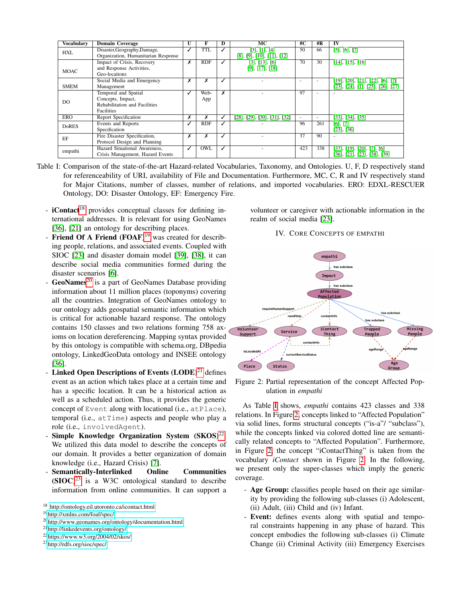<span id="page-3-1"></span>

| <b>Vocabulary</b> | <b>Domain Coverage</b>              | U | F          | D | МC                                         | #C                       | #R  | IV                                                 |
|-------------------|-------------------------------------|---|------------|---|--------------------------------------------|--------------------------|-----|----------------------------------------------------|
| <b>HXL</b>        | Disaster, Geography, Damage,        | ✓ | <b>TTL</b> |   | [3], [1], [4]                              | 50                       | 66  | $[5]$ , $[6]$ , $[7]$                              |
|                   | Organization, Humanitarian Response |   |            |   | $[8]$ , $[9]$ , $[10]$ , $[11]$ , $[12]$   |                          |     |                                                    |
|                   | Impact of Crisis, Recovery          | x | RDF        |   | $[3]$ , $[13]$ , $[6]$                     | 70                       | 30  | $[14], [15], \overline{161}$                       |
| <b>MOAC</b>       | and Response Activities,            |   |            |   | $[9]$ , $[17]$ , $[18]$                    |                          |     |                                                    |
|                   | Geo-locations                       |   |            |   |                                            |                          |     |                                                    |
|                   | Social Media and Emergency          | x | х          |   |                                            |                          |     | [19], [20], [21], [22], [6], [7]                   |
| <b>SMEM</b>       | Management                          |   |            |   |                                            |                          |     | $[23]$ , $[24]$ , $[1]$ , $[25]$ , $[26]$ , $[27]$ |
| DO.               | Temporal and Spatial                | ✓ | Web-       | x |                                            | 97                       |     |                                                    |
|                   | Concepts, Impact,                   |   | App        |   |                                            |                          |     |                                                    |
|                   | Rehabilitation and Facilities       |   |            |   |                                            |                          |     |                                                    |
|                   | <b>Facilities</b>                   |   |            |   |                                            |                          |     |                                                    |
| <b>ERO</b>        | <b>Report Specification</b>         | х | x          |   | $[28]$ , $[29]$ , $[30]$ , $[31]$ , $[32]$ | $\overline{\phantom{a}}$ | ٠   | $[33]$ , $[34]$ , $[35]$                           |
| <b>DoRES</b>      | Events and Reports                  |   | <b>RDF</b> |   |                                            | 96                       | 261 | $[6]$ , $[7]$                                      |
|                   | Specification                       |   |            |   |                                            |                          |     | $[23]$ , $[36]$                                    |
| EF                | Fire Disaster Specification,        | x | x          |   |                                            | 37                       | 90  |                                                    |
|                   | Protocol Design and Planning        |   |            |   |                                            |                          |     |                                                    |
| empathi           | Hazard Situational Awareness,       | ✓ | OWL        |   |                                            | 423                      | 338 | $[37]$ , [19], [20], [7], [6]                      |
|                   | Crisis Management, Hazard Events    |   |            |   |                                            |                          |     | $[36]$ , $[21]$ , $[23]$ , $[38]$ , $[39]$         |

- Table I: Comparison of the state-of-the-art Hazard-related Vocabularies, Taxonomy, and Ontologies. U, F, D respectively stand for referenceability of URI, availability of File and Documentation. Furthermore, MC, C, R and IV respectively stand for Major Citations, number of classes, number of relations, and imported vocabularies. ERO: EDXL-RESCUER Ontology, DO: Disaster Ontology, EF: Emergency Fire.
	- **iContact**<sup>[18](#page-3-2)</sup> provides conceptual classes for defining international addresses. It is relevant for using GeoNames [\[36\]](#page-8-40), [\[21\]](#page-8-27) an ontology for describing places.
	- Friend Of A Friend  $(FOAF)^{19}$  $(FOAF)^{19}$  $(FOAF)^{19}$  was created for describing people, relations, and associated events. Coupled with SIOC [\[23\]](#page-8-29) and disaster domain model [\[39\]](#page-8-42), [\[38\]](#page-8-41), it can describe social media communities formed during the disaster scenarios [\[6\]](#page-8-15).
	- $\text{GeoNames}^{20}$  $\text{GeoNames}^{20}$  $\text{GeoNames}^{20}$  is a part of GeoNames Database providing information about 11 million places (toponyms) covering all the countries. Integration of GeoNames ontology to our ontology adds geospatial semantic information which is critical for actionable hazard response. The ontology contains 150 classes and two relations forming 758 axioms on location dereferencing. Mapping syntax provided by this ontology is compatible with schema.org, DBpedia ontology, LinkedGeoData ontology and INSEE ontology [\[36\]](#page-8-40).
	- Linked Open Descriptions of Events  $(LODE)^{21}$  $(LODE)^{21}$  $(LODE)^{21}$  defines event as an action which takes place at a certain time and has a specific location. It can be a historical action as well as a scheduled action. Thus, it provides the generic concept of Event along with locational (i.e., atPlace), temporal (i.e., atTime) aspects and people who play a role (i.e., involvedAgent).
	- Simple Knowledge Organization System  $(SKOS)^{22}$  $(SKOS)^{22}$  $(SKOS)^{22}$ . We utilized this data model to describe the concepts of our domain. It provides a better organization of domain knowledge (i.e., Hazard Crisis) [\[7\]](#page-8-16).
	- Semantically-Interlinked Online Communities  $(SIOC)^{23}$  $(SIOC)^{23}$  $(SIOC)^{23}$  is a W3C ontological standard to describe information from online communities. It can support a

volunteer or caregiver with actionable information in the realm of social media [\[23\]](#page-8-29).

### IV. CORE CONCEPTS OF EMPATHI

<span id="page-3-8"></span><span id="page-3-0"></span>

Figure 2: Partial representation of the concept Affected Population in *empathi*

As Table [I](#page-3-1) shows, *empathi* contains 423 classes and 338 relations. In Figure [2,](#page-3-8) concepts linked to "Affected Population" via solid lines, forms structural concepts ("is-a"/ "subclass"), while the concepts linked via colored dotted line are semantically related concepts to "Affected Population". Furthermore, in Figure [2,](#page-3-8) the concept "iContactThing" is taken from the vocabulary *iContact* shown in Figure [2.](#page-3-8) In the following, we present only the super-classes which imply the generic coverage.

- Age Group: classifies people based on their age similarity by providing the following sub-classes (i) Adolescent, (ii) Adult, (iii) Child and (iv) Infant.
- Event: defines events along with spatial and temporal constraints happening in any phase of hazard. This concept embodies the following sub-classes (i) Climate Change (ii) Criminal Activity (iii) Emergency Exercises

<span id="page-3-2"></span><sup>18</sup> <http://ontology.eil.utoronto.ca/icontact.html>

<span id="page-3-3"></span><sup>19</sup><http://xmlns.com/foaf/spec/>

<span id="page-3-4"></span><sup>20</sup><http://www.geonames.org/ontology/documentation.html>

<span id="page-3-5"></span><sup>21</sup><http://linkedevents.org/ontology/>

<span id="page-3-6"></span><sup>22</sup><https://www.w3.org/2004/02/skos/>

<span id="page-3-7"></span><sup>23</sup><http://rdfs.org/sioc/spec/>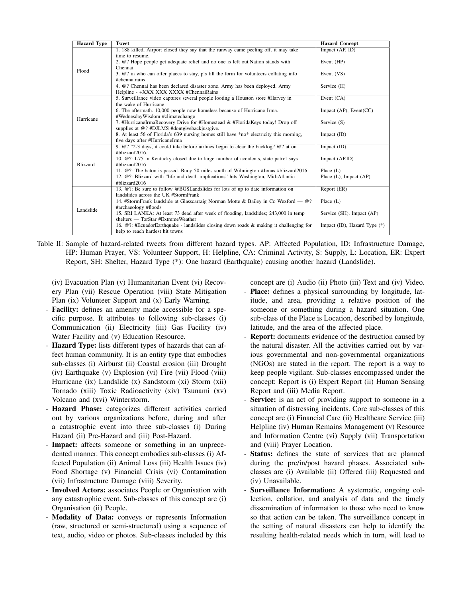<span id="page-4-0"></span>

| <b>Hazard Type</b> | <b>Tweet</b>                                                                              | <b>Hazard Concept</b>        |
|--------------------|-------------------------------------------------------------------------------------------|------------------------------|
|                    | 1. 188 killed, Airport closed they say that the runway came peeling off. it may take      | Impact (AP, ID)              |
| Flood              | time to resume.                                                                           |                              |
|                    | 2. @? Hope people get adequate relief and no one is left out. Nation stands with          | Event (HP)                   |
|                    | Chennai.                                                                                  |                              |
|                    | 3. @? in who can offer places to stay, pls fill the form for volunteers collating info    | Event (VS)                   |
|                    | #chennairains                                                                             |                              |
|                    | 4. @? Chennai has been declared disaster zone. Army has been deployed. Army               | Service (H)                  |
|                    | Helpline - +XXX XXX XXXX #ChennaiRains                                                    |                              |
|                    | 5. Surveillance video captures several people looting a Houston store #Harvey in          | Event $(CA)$                 |
|                    | the wake of Hurricane                                                                     |                              |
|                    | 6. The aftermath. 10,000 people now homeless because of Hurricane Irma.                   | Impact (AP), Event(CC)       |
| Hurricane          | #WednesdayWisdom #climatechange                                                           |                              |
|                    | 7. #HurricaneIrmaRecovery Drive for #Homestead & #FloridaKeys today! Drop off             | Service (S)                  |
|                    | supplies at @? #DJLMS #dontgivebackjustgive.                                              |                              |
|                    | 8. At least 56 of Florida's 639 nursing homes still have *no* electricity this morning,   | Impact $(ID)$                |
|                    | five days after #HurricaneIrma                                                            |                              |
|                    | 9. @? "2-3 days, it could take before airlines begin to clear the backlog? @? at on       | Impact (ID)                  |
|                    | #blizzard2016.                                                                            |                              |
|                    | 10. @?: I-75 in Kentucky closed due to large number of accidents, state patrol says       | Impact (AP,ID)               |
| <b>Blizzard</b>    | #blizzard2016                                                                             |                              |
|                    | 11. @?: The baton is passed. Buoy 50 miles south of Wilmington #Jonas #blizzard2016       | Place $(L)$                  |
|                    | 12. @?: Blizzard with "life and death implications" hits Washington, Mid-Atlantic         | Place $(L)$ , Impact $(AP)$  |
|                    | #blizzard2016                                                                             |                              |
|                    | 13. @?: Be sure to follow @BGSLandslides for lots of up to date information on            | Report (ER)                  |
|                    | landslides across the UK #StormFrank                                                      |                              |
|                    | 14. #StormFrank landslide at Glasscarraig Norman Motte & Bailey in Co Wexford — @?        | Place $(L)$                  |
| Landslide          | #archaeology #floods                                                                      |                              |
|                    | 15. SRI LANKA: At least 73 dead after week of flooding, landslides; 243,000 in temp       | Service (SH), Impact (AP)    |
|                    | shelters — TorStar #ExtremeWeather                                                        |                              |
|                    | 16. $@?$ : #EcuadorEarthquake - landslides closing down roads & making it challenging for | Impact (ID), Hazard Type (*) |
|                    | help to reach hardest hit towns                                                           |                              |

Table II: Sample of hazard-related tweets from different hazard types. AP: Affected Population, ID: Infrastructure Damage, HP: Human Prayer, VS: Volunteer Support, H: Helpline, CA: Criminal Activity, S: Supply, L: Location, ER: Expert Report, SH: Shelter, Hazard Type (\*): One hazard (Earthquake) causing another hazard (Landslide).

(iv) Evacuation Plan (v) Humanitarian Event (vi) Recovery Plan (vii) Rescue Operation (viii) State Mitigation Plan (ix) Volunteer Support and (x) Early Warning.

- Facility: defines an amenity made accessible for a specific purpose. It attributes to following sub-classes (i) Communication (ii) Electricity (iii) Gas Facility (iv) Water Facility and (v) Education Resource.
- Hazard Type: lists different types of hazards that can affect human community. It is an entity type that embodies sub-classes (i) Airburst (ii) Coastal erosion (iii) Drought (iv) Earthquake (v) Explosion (vi) Fire (vii) Flood (viii) Hurricane (ix) Landslide (x) Sandstorm (xi) Storm (xii) Tornado (xiii) Toxic Radioactivity (xiv) Tsunami (xv) Volcano and (xvi) Winterstorm.
- Hazard Phase: categorizes different activities carried out by various organizations before, during and after a catastrophic event into three sub-classes (i) During Hazard (ii) Pre-Hazard and (iii) Post-Hazard.
- Impact: affects someone or something in an unprecedented manner. This concept embodies sub-classes (i) Affected Population (ii) Animal Loss (iii) Health Issues (iv) Food Shortage (v) Financial Crisis (vi) Contamination (vii) Infrastructure Damage (viii) Severity.
- Involved Actors: associates People or Organisation with any catastrophic event. Sub-classes of this concept are (i) Organisation (ii) People.
- Modality of Data: conveys or represents Information (raw, structured or semi-structured) using a sequence of text, audio, video or photos. Sub-classes included by this

concept are (i) Audio (ii) Photo (iii) Text and (iv) Video.

- Place: defines a physical surrounding by longitude, latitude, and area, providing a relative position of the someone or something during a hazard situation. One sub-class of the Place is Location, described by longitude, latitude, and the area of the affected place.
- Report: documents evidence of the destruction caused by the natural disaster. All the activities carried out by various governmental and non-governmental organizations (NGOs) are stated in the report. The report is a way to keep people vigilant. Sub-classes encompassed under the concept: Report is (i) Expert Report (ii) Human Sensing Report and (iii) Media Report.
- Service: is an act of providing support to someone in a situation of distressing incidents. Core sub-classes of this concept are (i) Financial Care (ii) Healthcare Service (iii) Helpline (iv) Human Remains Management (v) Resource and Information Centre (vi) Supply (vii) Transportation and (viii) Prayer Location.
- Status: defines the state of services that are planned during the pre/in/post hazard phases. Associated subclasses are (i) Available (ii) Offered (iii) Requested and (iv) Unavailable.
- Surveillance Information: A systematic, ongoing collection, collation, and analysis of data and the timely dissemination of information to those who need to know so that action can be taken. The surveillance concept in the setting of natural disasters can help to identify the resulting health-related needs which in turn, will lead to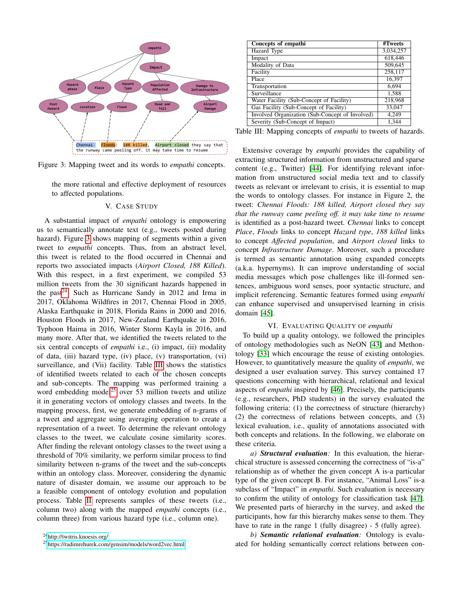<span id="page-5-0"></span>

Figure 3: Mapping tweet and its words to *empathi* concepts.

<span id="page-5-4"></span>to affected populations. the more rational and effective deployment of resources

### V. CASE STUDY

this tweet is related to the flood occurred in Chennai and reports two associated impacts (Airport Closed, 188 Killed). A substantial impact of *empathi* ontology is empowering hazard). Figure [3](#page-5-0) shows mapping of segments within a given us to semantically annotate text (e.g., tweets posted during tweet to *empathi* concepts. Thus, from an abstract level, With this respect, in a first experiment, we compiled 53 million tweets from the 30 significant hazards happened in the past<sup>[24](#page-5-1)</sup>. Such as Hurricane Sandy in 2012 and Irma in 2017, Oklahoma Wildfires in 2017, Chennai Flood in 2005, Alaska Earthquake in 2018, Florida Rains in 2000 and 2016, Houston Floods in 2017, New-Zealand Earthquake in 2016, Typhoon Haima in 2016, Winter Storm Kayla in 2016, and many more. After that, we identified the tweets related to the six central concepts of *empathi* i.e., (i) impact, (ii) modality of data, (iii) hazard type, (iv) place, (v) transportation, (vi) surveillance, and (Vii) facility. Table [III](#page-5-2) shows the statistics of identified tweets related to each of the chosen concepts and sub-concepts. The mapping was performed training a word embedding model<sup>[25](#page-5-3)</sup> over 53 million tweets and utilize it in generating vectors of ontology classes and tweets. In the mapping process, first, we generate embedding of n-grams of a tweet and aggregate using averaging operation to create a representation of a tweet. To determine the relevant ontology classes to the tweet, we calculate cosine similarity scores. After finding the relevant ontology classes to the tweet using a threshold of 70% similarity, we perform similar process to find similarity between n-grams of the tweet and the sub-concepts within an ontology class. Moreover, considering the dynamic nature of disaster domain, we assume our approach to be a feasible component of ontology evolution and population process. Table [II](#page-4-0) represents samples of these tweets (i.e., column two) along with the mapped *empathi* concepts (i.e., column three) from various hazard type (i.e., column one).

<span id="page-5-2"></span>

| Concepts of empathi                             | #Tweets   |
|-------------------------------------------------|-----------|
| Hazard Type                                     | 3,034,257 |
| Impact                                          | 618,446   |
| Modality of Data                                | 509,645   |
| Facility                                        | 258,117   |
| Place                                           | 16,397    |
| Transportation                                  | 6.694     |
| Surveillance                                    | 1,588     |
| Water Facility (Sub-Concept of Facility)        | 218,968   |
| Gas Facility (Sub-Concept of Facility)          | 33,047    |
| Involved Organization (Sub-Concept of Involved) | 4.249     |
| Severity (Sub-Concept of Impact)                | 1.344     |

Table III: Mapping concepts of *empathi* to tweets of hazards.

Extensive coverage by *empathi* provides the capability of extracting structured information from unstructured and sparse content (e.g., Twitter) [\[44\]](#page-8-43). For identifying relevant information from unstructured social media text and to classify tweets as relevant or irrelevant to crisis, it is essential to map the words to ontology classes. For instance in Figure 2, the tweet: *Chennai Floods: 188 killed, Airport closed they say that the runway came peeling off. it may take time to resume* is identified as a post-hazard tweet. *Chennai* links to concept *Place*, *Floods* links to concept *Hazard type*, *188 killed* links to concept *Affected population*, and *Airport closed* links to concept *Infrastructure Damage*. Moreover, such a procedure is termed as semantic annotation using expanded concepts (a.k.a. hypernyms). It can improve understanding of social media messages which pose challenges like ill-formed sentences, ambiguous word senses, poor syntactic structure, and implicit referencing. Semantic features formed using *empathi* can enhance supervised and unsupervised learning in crisis domain [\[45\]](#page-8-44).

### VI. EVALUATING QUALITY OF *empathi*

To build up a quality ontology, we followed the principles of ontology methodologies such as NeON [\[43\]](#page-8-8) and Methontology [\[33\]](#page-8-7) which encourage the reuse of existing ontologies. However, to quantitatively measure the quality of *empathi*, we designed a user evaluation survey. This survey contained 17 questions concerning with hierarchical, relational and lexical aspects of *empathi* inspired by [\[46\]](#page-8-45). Precisely, the participants (e.g., researchers, PhD students) in the survey evaluated the following criteria: (1) the correctness of structure (hierarchy) (2) the correctness of relations between concepts, and (3) lexical evaluation, i.e., quality of annotations associated with both concepts and relations. In the following, we elaborate on these criteria.

*a) Structural evaluation:* In this evaluation, the hierarchical structure is assessed concerning the correctness of "is-a" relationship as of whether the given concept A is-a particular type of the given concept B. For instance, "Animal Loss" is-a subclass of "Impact" in *empathi*. Such evaluation is necessary to confirm the utility of ontology for classification task [\[47\]](#page-8-46). We presented parts of hierarchy in the survey, and asked the participants, how far this hierarchy makes sense to them. They have to rate in the range 1 (fully disagree) - 5 (fully agree).

*b) Semantic relational evaluation:* Ontology is evaluated for holding semantically correct relations between con-

<span id="page-5-1"></span><sup>24</sup><http://twitris.knoesis.org/>

<span id="page-5-3"></span><sup>25</sup><https://radimrehurek.com/gensim/models/word2vec.html>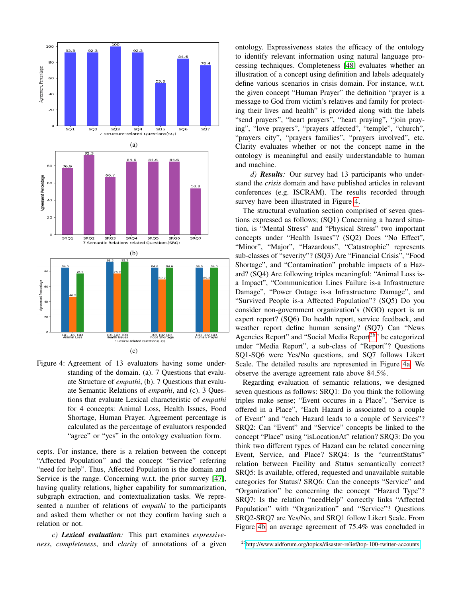<span id="page-6-0"></span>

Figure 4: Agreement of 13 evaluators having some understanding of the domain. (a). 7 Questions that evaluate Structure of *empathi*, (b). 7 Questions that evaluate Semantic Relations of *empathi*, and (c). 3 Questions that evaluate Lexical characteristic of *empathi* for 4 concepts: Animal Loss, Health Issues, Food Shortage, Human Prayer. Agreement percentage is calculated as the percentage of evaluators responded "agree" or "yes" in the ontology evaluation form.

cepts. For instance, there is a relation between the concept "Affected Population" and the concept "Service" referring "need for help". Thus, Affected Population is the domain and Service is the range. Concerning w.r.t. the prior survey [\[47\]](#page-8-46), having quality relations, higher capability for summarization, subgraph extraction, and contextualization tasks. We represented a number of relations of *empathi* to the participants and asked them whether or not they confirm having such a relation or not.

*c) Lexical evaluation:* This part examines *expressiveness*, *completeness*, and *clarity* of annotations of a given

ontology. Expressiveness states the efficacy of the ontology to identify relevant information using natural language processing techniques. Completeness [\[48\]](#page-8-47) evaluates whether an illustration of a concept using definition and labels adequately define various scenarios in crisis domain. For instance, w.r.t. the given concept "Human Prayer" the definition "prayer is a message to God from victim's relatives and family for protecting their lives and health" is provided along with the labels "send prayers", "heart prayers", "heart praying", "join praying", "love prayers", "prayers affected", "temple", "church", "prayers city", "prayers families", "prayers involved", etc. Clarity evaluates whether or not the concept name in the ontology is meaningful and easily understandable to human and machine.

*d) Results:* Our survey had 13 participants who understand the *crisis* domain and have published articles in relevant conferences (e.g. ISCRAM). The results recorded through survey have been illustrated in Figure [4.](#page-6-0)

The structural evaluation section comprised of seven questions expressed as follows; (SQ1) Concerning a hazard situation, is "Mental Stress" and "Physical Stress" two important concepts under "Health Issues"? (SQ2) Does "No Effect", "Minor", "Major", "Hazardous", "Catastrophic" represents sub-classes of "severity"? (SQ3) Are "Financial Crisis", "Food Shortage", and "Contamination" probable impacts of a Hazard? (SQ4) Are following triples meaningful: "Animal Loss isa Impact", "Communication Lines Failure is-a Infrastructure Damage", "Power Outage is-a Infrastructure Damage", and "Survived People is-a Affected Population"? (SQ5) Do you consider non-government organization's (NGO) report is an expert report? (SQ6) Do health report, service feedback, and weather report define human sensing? (SQ7) Can "News Agencies Report" and "Social Media Report<sup>[26](#page-6-1)</sup>" be categorized under "Media Report", a sub-class of "Report"? Questions SQ1-SQ6 were Yes/No questions, and SQ7 follows Likert Scale. The detailed results are represented in Figure [4a.](#page-6-0) We observe the average agreement rate above 84.5%.

Regarding evaluation of semantic relations, we designed seven questions as follows: SRQ1: Do you think the following triples make sense; "Event occures in a Place", "Service is offered in a Place", "Each Hazard is associated to a couple of Event" and "each Hazard leads to a couple of Services"? SRQ2: Can "Event" and "Service" concepts be linked to the concept "Place" using "isLocationAt" relation? SRQ3: Do you think two different types of Hazard can be related concerning Event, Service, and Place? SRQ4: Is the "currentStatus" relation between Facility and Status semantically correct? SRQ5: Is available, offered, requested and unavailable suitable categories for Status? SRQ6: Can the concepts "Service" and "Organization" be concerning the concept "Hazard Type"? SRQ7: Is the relation "needHelp" correctly links "Affected Population" with "Organization" and "Service"? Questions SRQ2-SRQ7 are Yes/No, and SRQ1 follow Likert Scale. From Figure [4b,](#page-6-0) an average agreement of 75.4% was concluded in

<span id="page-6-1"></span><sup>26</sup><http://www.aidforum.org/topics/disaster-relief/top-100-twitter-accounts>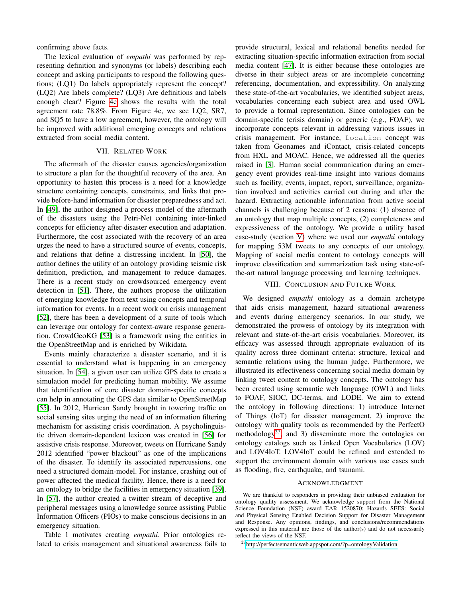confirming above facts.

The lexical evaluation of *empathi* was performed by representing definition and synonyms (or labels) describing each concept and asking participants to respond the following questions; (LQ1) Do labels appropriately represent the concept? (LQ2) Are labels complete? (LQ3) Are definitions and labels enough clear? Figure [4c](#page-6-0) shows the results with the total agreement rate 78.8%. From Figure 4c, we see LQ2, SR7, and SQ5 to have a low agreement, however, the ontology will be improved with additional emerging concepts and relations extracted from social media content.

### VII. RELATED WORK

<span id="page-7-0"></span>The aftermath of the disaster causes agencies/organization to structure a plan for the thoughtful recovery of the area. An opportunity to hasten this process is a need for a knowledge structure containing concepts, constraints, and links that provide before-hand information for disaster preparedness and act. In [\[49\]](#page-8-48), the author designed a process model of the aftermath of the disasters using the Petri-Net containing inter-linked concepts for efficiency after-disaster execution and adaptation. Furthermore, the cost associated with the recovery of an area urges the need to have a structured source of events, concepts, and relations that define a distressing incident. In [\[50\]](#page-8-49), the author defines the utility of an ontology providing seismic risk definition, prediction, and management to reduce damages. There is a recent study on crowdsourced emergency event detection in [\[51\]](#page-8-50). There, the authors propose the utilization of emerging knowledge from text using concepts and temporal information for events. In a recent work on crisis management [\[52\]](#page-8-51), there has been a development of a suite of tools which can leverage our ontology for context-aware response generation. CrowdGeoKG [\[53\]](#page-8-52) is a framework using the entities in the OpenStreetMap and is enriched by Wikidata.

Events mainly characterize a disaster scenario, and it is essential to understand what is happening in an emergency situation. In [\[54\]](#page-8-53), a given user can utilize GPS data to create a simulation model for predicting human mobility. We assume that identification of core disaster domain-specific concepts can help in annotating the GPS data similar to OpenStreetMap [\[55\]](#page-8-54). In 2012, Hurrican Sandy brought in towering traffic on social sensing sites urging the need of an information filtering mechanism for assisting crisis coordination. A psycholinguistic driven domain-dependent lexicon was created in [\[56\]](#page-8-55) for assistive crisis response. Moreover, tweets on Hurricane Sandy 2012 identified "power blackout" as one of the implications of the disaster. To identify its associated repercussions, one need a structured domain-model. For instance, crashing out of power affected the medical facility. Hence, there is a need for an ontology to bridge the facilities in emergency situation [\[39\]](#page-8-42). In [\[57\]](#page-8-56), the author created a twitter stream of deceptive and peripheral messages using a knowledge source assisting Public Information Officers (PIOs) to make conscious decisions in an emergency situation.

Table 1 motivates creating *empathi*. Prior ontologies related to crisis management and situational awareness fails to provide structural, lexical and relational benefits needed for extracting situation-specific information extraction from social media content [\[47\]](#page-8-46). It is either because these ontologies are diverse in their subject areas or are incomplete concerning referencing, documentation, and expressibility. On analyzing these state-of-the-art vocabularies, we identified subject areas, vocabularies concerning each subject area and used OWL to provide a formal representation. Since ontologies can be domain-specific (crisis domain) or generic (e.g., FOAF), we incorporate concepts relevant in addressing various issues in crisis management. For instance, Location concept was taken from Geonames and iContact, crisis-related concepts from HXL and MOAC. Hence, we addressed all the queries raised in [\[3\]](#page-8-12). Human social communication during an emergency event provides real-time insight into various domains such as facility, events, impact, report, surveillance, organization involved and activities carried out during and after the hazard. Extracting actionable information from active social channels is challenging because of 2 reasons: (1) absence of an ontology that map multiple concepts, (2) completeness and expressiveness of the ontology. We provide a utility based case-study (section [V\)](#page-5-4) where we used our *empathi* ontology for mapping 53M tweets to any concepts of our ontology. Mapping of social media content to ontology concepts will improve classification and summarization task using state-ofthe-art natural language processing and learning techniques.

#### VIII. CONCLUSION AND FUTURE WORK

We designed *empathi* ontology as a domain archetype that aids crisis management, hazard situational awareness and events during emergency scenarios. In our study, we demonstrated the prowess of ontology by its integration with relevant and state-of-the-art crisis vocabularies. Moreover, its efficacy was assessed through appropriate evaluation of its quality across three dominant criteria: structure, lexical and semantic relations using the human judge. Furthermore, we illustrated its effectiveness concerning social media domain by linking tweet content to ontology concepts. The ontology has been created using semantic web language (OWL) and links to FOAF, SIOC, DC-terms, and LODE. We aim to extend the ontology in following directions: 1) introduce Internet of Things (IoT) for disaster management, 2) improve the ontology with quality tools as recommended by the PerfectO methodology<sup>[27](#page-7-1)</sup>, and 3) disseminate more the ontologies on ontology catalogs such as Linked Open Vocabularies (LOV) and LOV4IoT. LOV4IoT could be refined and extended to support the environment domain with various use cases such as flooding, fire, earthquake, and tsunami.

#### ACKNOWLEDGMENT

We are thankful to responders in providing their unbiased evaluation for ontology quality assessment. We acknowledge support from the National Science Foundation (NSF) award EAR 1520870: Hazards SEES: Social and Physical Sensing Enabled Decision Support for Disaster Management and Response. Any opinions, findings, and conclusions/recommendations expressed in this material are those of the author(s) and do not necessarily reflect the views of the NSF.

<span id="page-7-1"></span><sup>27</sup><http://perfectsemanticweb.appspot.com/?p=ontologyValidation>